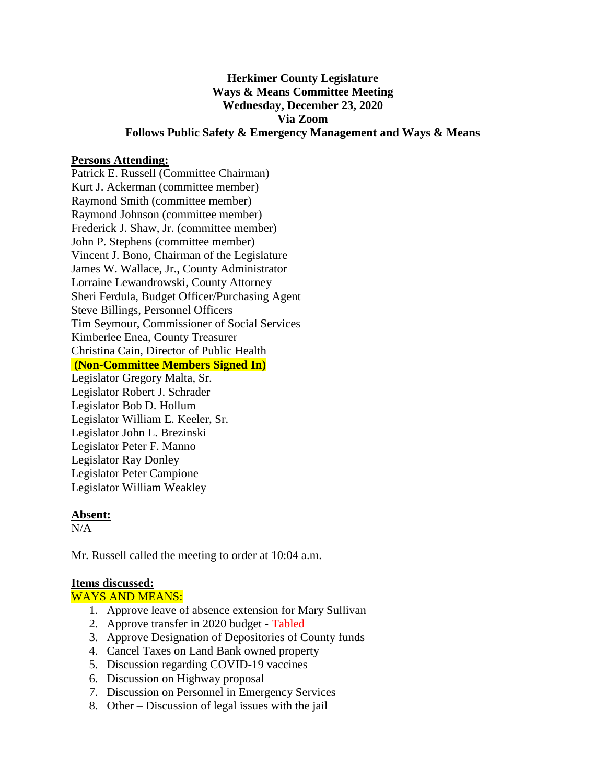# **Herkimer County Legislature Ways & Means Committee Meeting Wednesday, December 23, 2020 Via Zoom Follows Public Safety & Emergency Management and Ways & Means**

### **Persons Attending:**

Patrick E. Russell (Committee Chairman) Kurt J. Ackerman (committee member) Raymond Smith (committee member) Raymond Johnson (committee member) Frederick J. Shaw, Jr. (committee member) John P. Stephens (committee member) Vincent J. Bono, Chairman of the Legislature James W. Wallace, Jr., County Administrator Lorraine Lewandrowski, County Attorney Sheri Ferdula, Budget Officer/Purchasing Agent Steve Billings, Personnel Officers Tim Seymour, Commissioner of Social Services Kimberlee Enea, County Treasurer Christina Cain, Director of Public Health **(Non-Committee Members Signed In)**

Legislator Gregory Malta, Sr. Legislator Robert J. Schrader Legislator Bob D. Hollum Legislator William E. Keeler, Sr. Legislator John L. Brezinski Legislator Peter F. Manno Legislator Ray Donley Legislator Peter Campione Legislator William Weakley

#### **Absent:**

 $N/A$ 

Mr. Russell called the meeting to order at 10:04 a.m.

#### **Items discussed:**

#### WAYS AND MEANS:

- 1. Approve leave of absence extension for Mary Sullivan
- 2. Approve transfer in 2020 budget Tabled
- 3. Approve Designation of Depositories of County funds
- 4. Cancel Taxes on Land Bank owned property
- 5. Discussion regarding COVID-19 vaccines
- 6. Discussion on Highway proposal
- 7. Discussion on Personnel in Emergency Services
- 8. Other Discussion of legal issues with the jail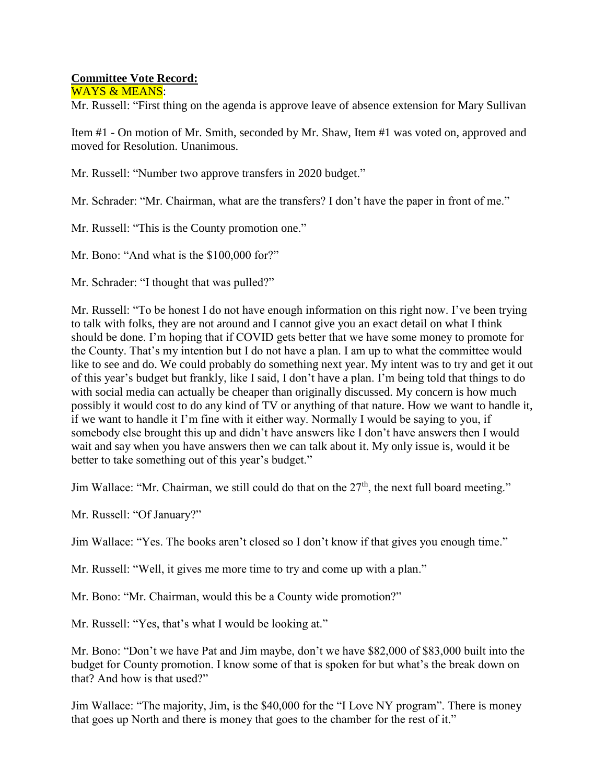## **Committee Vote Record:**

WAYS & MEANS:

Mr. Russell: "First thing on the agenda is approve leave of absence extension for Mary Sullivan

Item #1 - On motion of Mr. Smith, seconded by Mr. Shaw, Item #1 was voted on, approved and moved for Resolution. Unanimous.

Mr. Russell: "Number two approve transfers in 2020 budget."

Mr. Schrader: "Mr. Chairman, what are the transfers? I don't have the paper in front of me."

Mr. Russell: "This is the County promotion one."

Mr. Bono: "And what is the \$100,000 for?"

Mr. Schrader: "I thought that was pulled?"

Mr. Russell: "To be honest I do not have enough information on this right now. I've been trying to talk with folks, they are not around and I cannot give you an exact detail on what I think should be done. I'm hoping that if COVID gets better that we have some money to promote for the County. That's my intention but I do not have a plan. I am up to what the committee would like to see and do. We could probably do something next year. My intent was to try and get it out of this year's budget but frankly, like I said, I don't have a plan. I'm being told that things to do with social media can actually be cheaper than originally discussed. My concern is how much possibly it would cost to do any kind of TV or anything of that nature. How we want to handle it, if we want to handle it I'm fine with it either way. Normally I would be saying to you, if somebody else brought this up and didn't have answers like I don't have answers then I would wait and say when you have answers then we can talk about it. My only issue is, would it be better to take something out of this year's budget."

Jim Wallace: "Mr. Chairman, we still could do that on the 27<sup>th</sup>, the next full board meeting."

Mr. Russell: "Of January?"

Jim Wallace: "Yes. The books aren't closed so I don't know if that gives you enough time."

Mr. Russell: "Well, it gives me more time to try and come up with a plan."

Mr. Bono: "Mr. Chairman, would this be a County wide promotion?"

Mr. Russell: "Yes, that's what I would be looking at."

Mr. Bono: "Don't we have Pat and Jim maybe, don't we have \$82,000 of \$83,000 built into the budget for County promotion. I know some of that is spoken for but what's the break down on that? And how is that used?"

Jim Wallace: "The majority, Jim, is the \$40,000 for the "I Love NY program". There is money that goes up North and there is money that goes to the chamber for the rest of it."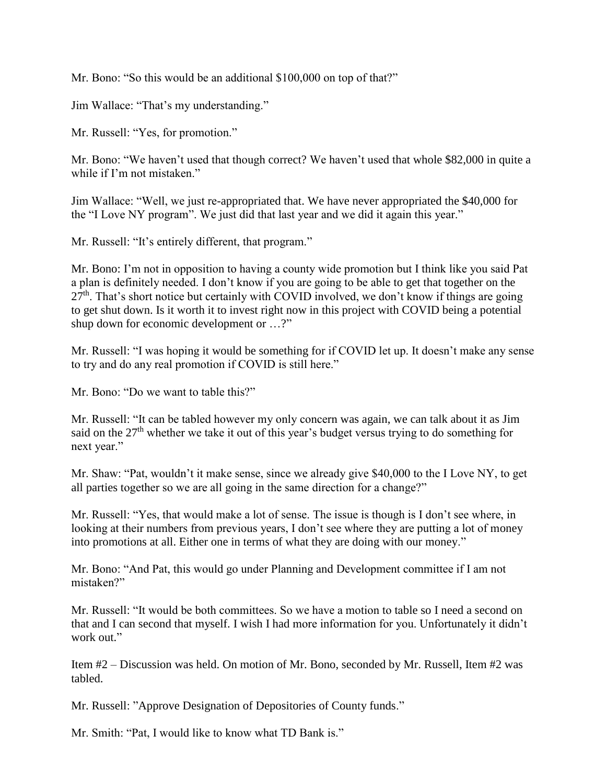Mr. Bono: "So this would be an additional \$100,000 on top of that?"

Jim Wallace: "That's my understanding."

Mr. Russell: "Yes, for promotion."

Mr. Bono: "We haven't used that though correct? We haven't used that whole \$82,000 in quite a while if I'm not mistaken."

Jim Wallace: "Well, we just re-appropriated that. We have never appropriated the \$40,000 for the "I Love NY program". We just did that last year and we did it again this year."

Mr. Russell: "It's entirely different, that program."

Mr. Bono: I'm not in opposition to having a county wide promotion but I think like you said Pat a plan is definitely needed. I don't know if you are going to be able to get that together on the  $27<sup>th</sup>$ . That's short notice but certainly with COVID involved, we don't know if things are going to get shut down. Is it worth it to invest right now in this project with COVID being a potential shup down for economic development or …?"

Mr. Russell: "I was hoping it would be something for if COVID let up. It doesn't make any sense to try and do any real promotion if COVID is still here."

Mr. Bono: "Do we want to table this?"

Mr. Russell: "It can be tabled however my only concern was again, we can talk about it as Jim said on the 27<sup>th</sup> whether we take it out of this year's budget versus trying to do something for next year."

Mr. Shaw: "Pat, wouldn't it make sense, since we already give \$40,000 to the I Love NY, to get all parties together so we are all going in the same direction for a change?"

Mr. Russell: "Yes, that would make a lot of sense. The issue is though is I don't see where, in looking at their numbers from previous years, I don't see where they are putting a lot of money into promotions at all. Either one in terms of what they are doing with our money."

Mr. Bono: "And Pat, this would go under Planning and Development committee if I am not mistaken?"

Mr. Russell: "It would be both committees. So we have a motion to table so I need a second on that and I can second that myself. I wish I had more information for you. Unfortunately it didn't work out."

Item #2 – Discussion was held. On motion of Mr. Bono, seconded by Mr. Russell, Item #2 was tabled.

Mr. Russell: "Approve Designation of Depositories of County funds."

Mr. Smith: "Pat, I would like to know what TD Bank is."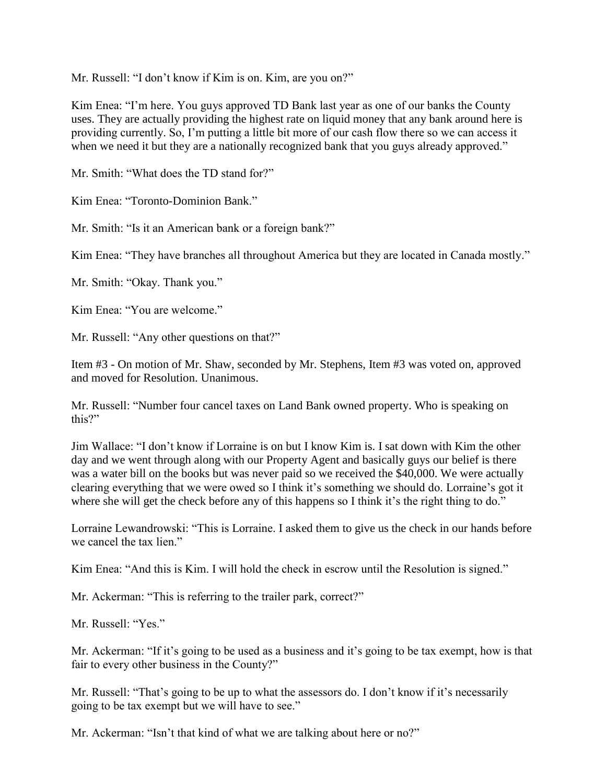Mr. Russell: "I don't know if Kim is on. Kim, are you on?"

Kim Enea: "I'm here. You guys approved TD Bank last year as one of our banks the County uses. They are actually providing the highest rate on liquid money that any bank around here is providing currently. So, I'm putting a little bit more of our cash flow there so we can access it when we need it but they are a nationally recognized bank that you guys already approved."

Mr. Smith: "What does the TD stand for?"

Kim Enea: "Toronto-Dominion Bank."

Mr. Smith: "Is it an American bank or a foreign bank?"

Kim Enea: "They have branches all throughout America but they are located in Canada mostly."

Mr. Smith: "Okay. Thank you."

Kim Enea: "You are welcome."

Mr. Russell: "Any other questions on that?"

Item #3 - On motion of Mr. Shaw, seconded by Mr. Stephens, Item #3 was voted on, approved and moved for Resolution. Unanimous.

Mr. Russell: "Number four cancel taxes on Land Bank owned property. Who is speaking on this?"

Jim Wallace: "I don't know if Lorraine is on but I know Kim is. I sat down with Kim the other day and we went through along with our Property Agent and basically guys our belief is there was a water bill on the books but was never paid so we received the \$40,000. We were actually clearing everything that we were owed so I think it's something we should do. Lorraine's got it where she will get the check before any of this happens so I think it's the right thing to do."

Lorraine Lewandrowski: "This is Lorraine. I asked them to give us the check in our hands before we cancel the tax lien."

Kim Enea: "And this is Kim. I will hold the check in escrow until the Resolution is signed."

Mr. Ackerman: "This is referring to the trailer park, correct?"

Mr. Russell: "Yes."

Mr. Ackerman: "If it's going to be used as a business and it's going to be tax exempt, how is that fair to every other business in the County?"

Mr. Russell: "That's going to be up to what the assessors do. I don't know if it's necessarily going to be tax exempt but we will have to see."

Mr. Ackerman: "Isn't that kind of what we are talking about here or no?"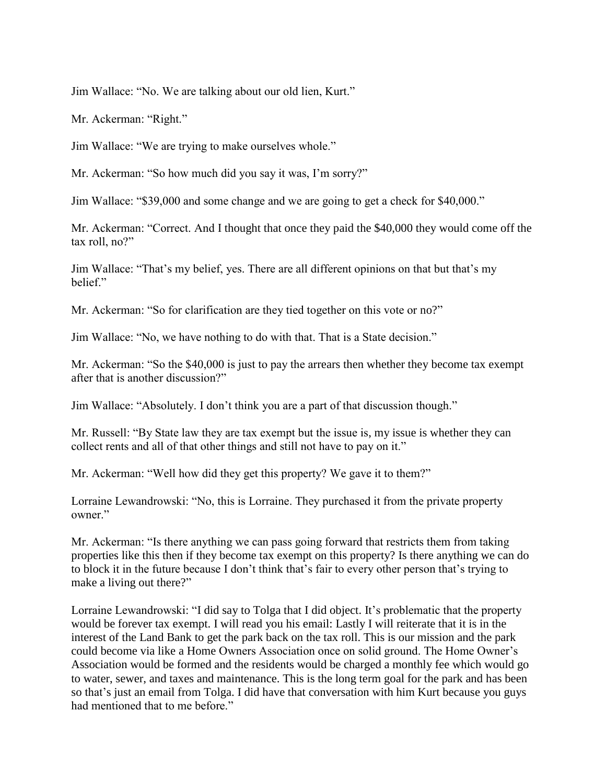Jim Wallace: "No. We are talking about our old lien, Kurt."

Mr. Ackerman: "Right."

Jim Wallace: "We are trying to make ourselves whole."

Mr. Ackerman: "So how much did you say it was, I'm sorry?"

Jim Wallace: "\$39,000 and some change and we are going to get a check for \$40,000."

Mr. Ackerman: "Correct. And I thought that once they paid the \$40,000 they would come off the tax roll, no?"

Jim Wallace: "That's my belief, yes. There are all different opinions on that but that's my belief."

Mr. Ackerman: "So for clarification are they tied together on this vote or no?"

Jim Wallace: "No, we have nothing to do with that. That is a State decision."

Mr. Ackerman: "So the \$40,000 is just to pay the arrears then whether they become tax exempt after that is another discussion?"

Jim Wallace: "Absolutely. I don't think you are a part of that discussion though."

Mr. Russell: "By State law they are tax exempt but the issue is, my issue is whether they can collect rents and all of that other things and still not have to pay on it."

Mr. Ackerman: "Well how did they get this property? We gave it to them?"

Lorraine Lewandrowski: "No, this is Lorraine. They purchased it from the private property owner."

Mr. Ackerman: "Is there anything we can pass going forward that restricts them from taking properties like this then if they become tax exempt on this property? Is there anything we can do to block it in the future because I don't think that's fair to every other person that's trying to make a living out there?"

Lorraine Lewandrowski: "I did say to Tolga that I did object. It's problematic that the property would be forever tax exempt. I will read you his email: Lastly I will reiterate that it is in the interest of the Land Bank to get the park back on the tax roll. This is our mission and the park could become via like a Home Owners Association once on solid ground. The Home Owner's Association would be formed and the residents would be charged a monthly fee which would go to water, sewer, and taxes and maintenance. This is the long term goal for the park and has been so that's just an email from Tolga. I did have that conversation with him Kurt because you guys had mentioned that to me before."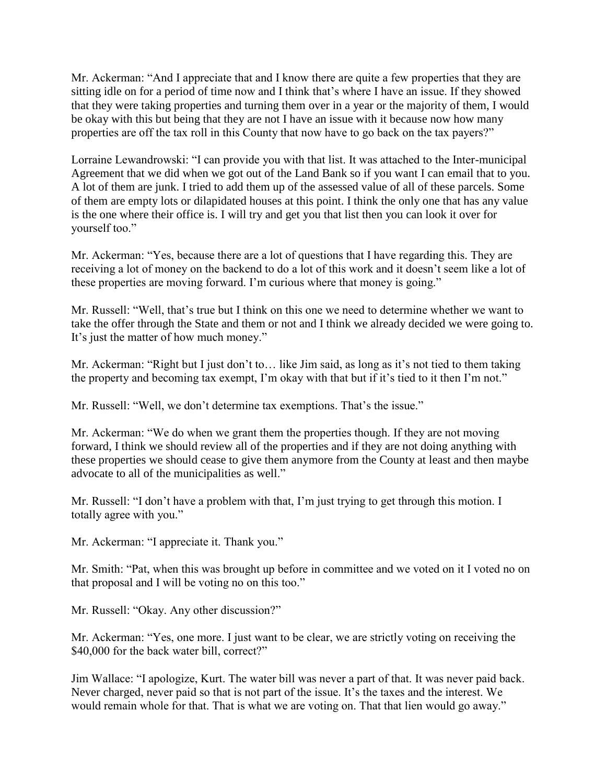Mr. Ackerman: "And I appreciate that and I know there are quite a few properties that they are sitting idle on for a period of time now and I think that's where I have an issue. If they showed that they were taking properties and turning them over in a year or the majority of them, I would be okay with this but being that they are not I have an issue with it because now how many properties are off the tax roll in this County that now have to go back on the tax payers?"

Lorraine Lewandrowski: "I can provide you with that list. It was attached to the Inter-municipal Agreement that we did when we got out of the Land Bank so if you want I can email that to you. A lot of them are junk. I tried to add them up of the assessed value of all of these parcels. Some of them are empty lots or dilapidated houses at this point. I think the only one that has any value is the one where their office is. I will try and get you that list then you can look it over for yourself too."

Mr. Ackerman: "Yes, because there are a lot of questions that I have regarding this. They are receiving a lot of money on the backend to do a lot of this work and it doesn't seem like a lot of these properties are moving forward. I'm curious where that money is going."

Mr. Russell: "Well, that's true but I think on this one we need to determine whether we want to take the offer through the State and them or not and I think we already decided we were going to. It's just the matter of how much money."

Mr. Ackerman: "Right but I just don't to… like Jim said, as long as it's not tied to them taking the property and becoming tax exempt, I'm okay with that but if it's tied to it then I'm not."

Mr. Russell: "Well, we don't determine tax exemptions. That's the issue."

Mr. Ackerman: "We do when we grant them the properties though. If they are not moving forward, I think we should review all of the properties and if they are not doing anything with these properties we should cease to give them anymore from the County at least and then maybe advocate to all of the municipalities as well."

Mr. Russell: "I don't have a problem with that, I'm just trying to get through this motion. I totally agree with you."

Mr. Ackerman: "I appreciate it. Thank you."

Mr. Smith: "Pat, when this was brought up before in committee and we voted on it I voted no on that proposal and I will be voting no on this too."

Mr. Russell: "Okay. Any other discussion?"

Mr. Ackerman: "Yes, one more. I just want to be clear, we are strictly voting on receiving the \$40,000 for the back water bill, correct?"

Jim Wallace: "I apologize, Kurt. The water bill was never a part of that. It was never paid back. Never charged, never paid so that is not part of the issue. It's the taxes and the interest. We would remain whole for that. That is what we are voting on. That that lien would go away."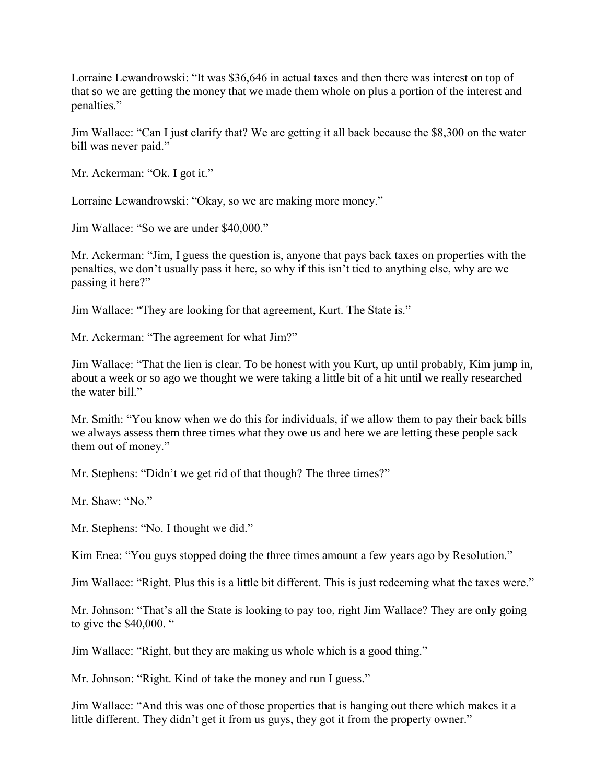Lorraine Lewandrowski: "It was \$36,646 in actual taxes and then there was interest on top of that so we are getting the money that we made them whole on plus a portion of the interest and penalties."

Jim Wallace: "Can I just clarify that? We are getting it all back because the \$8,300 on the water bill was never paid."

Mr. Ackerman: "Ok. I got it."

Lorraine Lewandrowski: "Okay, so we are making more money."

Jim Wallace: "So we are under \$40,000."

Mr. Ackerman: "Jim, I guess the question is, anyone that pays back taxes on properties with the penalties, we don't usually pass it here, so why if this isn't tied to anything else, why are we passing it here?"

Jim Wallace: "They are looking for that agreement, Kurt. The State is."

Mr. Ackerman: "The agreement for what Jim?"

Jim Wallace: "That the lien is clear. To be honest with you Kurt, up until probably, Kim jump in, about a week or so ago we thought we were taking a little bit of a hit until we really researched the water bill."

Mr. Smith: "You know when we do this for individuals, if we allow them to pay their back bills we always assess them three times what they owe us and here we are letting these people sack them out of money."

Mr. Stephens: "Didn't we get rid of that though? The three times?"

Mr. Shaw: "No."

Mr. Stephens: "No. I thought we did."

Kim Enea: "You guys stopped doing the three times amount a few years ago by Resolution."

Jim Wallace: "Right. Plus this is a little bit different. This is just redeeming what the taxes were."

Mr. Johnson: "That's all the State is looking to pay too, right Jim Wallace? They are only going to give the \$40,000. "

Jim Wallace: "Right, but they are making us whole which is a good thing."

Mr. Johnson: "Right. Kind of take the money and run I guess."

Jim Wallace: "And this was one of those properties that is hanging out there which makes it a little different. They didn't get it from us guys, they got it from the property owner."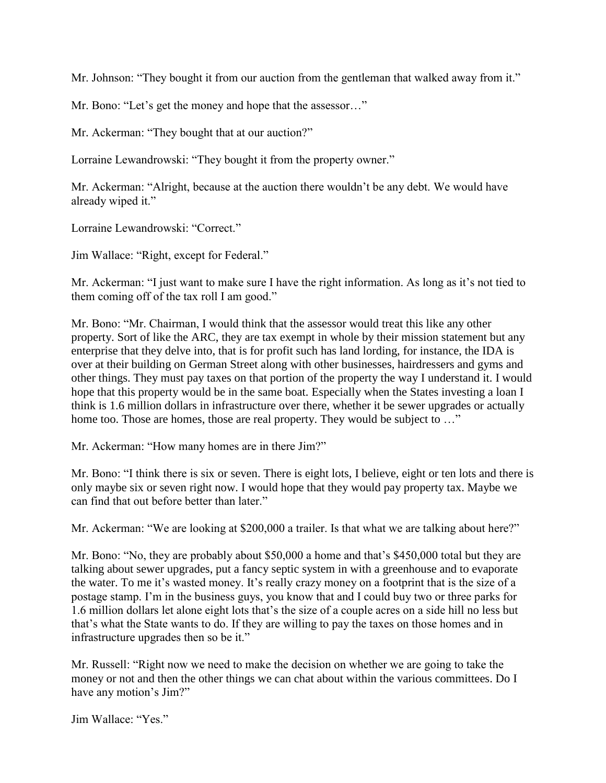Mr. Johnson: "They bought it from our auction from the gentleman that walked away from it."

Mr. Bono: "Let's get the money and hope that the assessor…"

Mr. Ackerman: "They bought that at our auction?"

Lorraine Lewandrowski: "They bought it from the property owner."

Mr. Ackerman: "Alright, because at the auction there wouldn't be any debt. We would have already wiped it."

Lorraine Lewandrowski: "Correct."

Jim Wallace: "Right, except for Federal."

Mr. Ackerman: "I just want to make sure I have the right information. As long as it's not tied to them coming off of the tax roll I am good."

Mr. Bono: "Mr. Chairman, I would think that the assessor would treat this like any other property. Sort of like the ARC, they are tax exempt in whole by their mission statement but any enterprise that they delve into, that is for profit such has land lording, for instance, the IDA is over at their building on German Street along with other businesses, hairdressers and gyms and other things. They must pay taxes on that portion of the property the way I understand it. I would hope that this property would be in the same boat. Especially when the States investing a loan I think is 1.6 million dollars in infrastructure over there, whether it be sewer upgrades or actually home too. Those are homes, those are real property. They would be subject to ..."

Mr. Ackerman: "How many homes are in there Jim?"

Mr. Bono: "I think there is six or seven. There is eight lots, I believe, eight or ten lots and there is only maybe six or seven right now. I would hope that they would pay property tax. Maybe we can find that out before better than later."

Mr. Ackerman: "We are looking at \$200,000 a trailer. Is that what we are talking about here?"

Mr. Bono: "No, they are probably about \$50,000 a home and that's \$450,000 total but they are talking about sewer upgrades, put a fancy septic system in with a greenhouse and to evaporate the water. To me it's wasted money. It's really crazy money on a footprint that is the size of a postage stamp. I'm in the business guys, you know that and I could buy two or three parks for 1.6 million dollars let alone eight lots that's the size of a couple acres on a side hill no less but that's what the State wants to do. If they are willing to pay the taxes on those homes and in infrastructure upgrades then so be it."

Mr. Russell: "Right now we need to make the decision on whether we are going to take the money or not and then the other things we can chat about within the various committees. Do I have any motion's Jim?"

Jim Wallace: "Yes."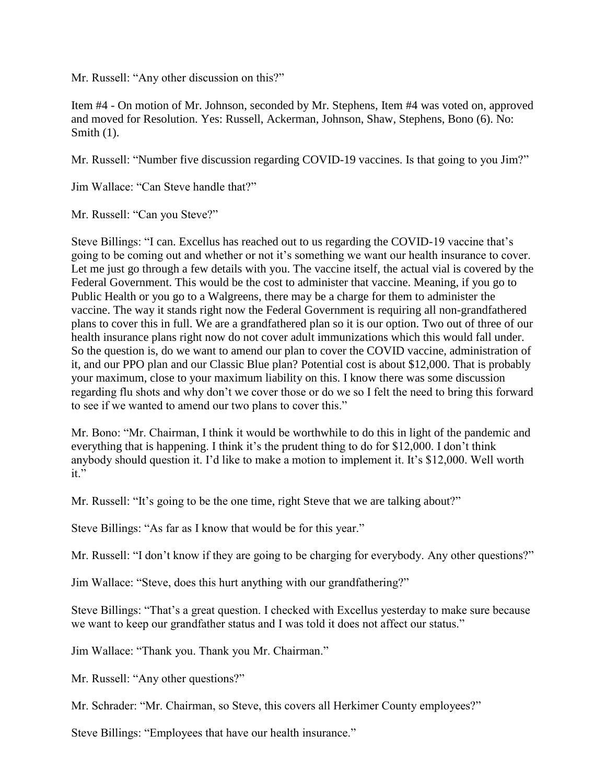Mr. Russell: "Any other discussion on this?"

Item #4 - On motion of Mr. Johnson, seconded by Mr. Stephens, Item #4 was voted on, approved and moved for Resolution. Yes: Russell, Ackerman, Johnson, Shaw, Stephens, Bono (6). No: Smith  $(1)$ .

Mr. Russell: "Number five discussion regarding COVID-19 vaccines. Is that going to you Jim?"

Jim Wallace: "Can Steve handle that?"

Mr. Russell: "Can you Steve?"

Steve Billings: "I can. Excellus has reached out to us regarding the COVID-19 vaccine that's going to be coming out and whether or not it's something we want our health insurance to cover. Let me just go through a few details with you. The vaccine itself, the actual vial is covered by the Federal Government. This would be the cost to administer that vaccine. Meaning, if you go to Public Health or you go to a Walgreens, there may be a charge for them to administer the vaccine. The way it stands right now the Federal Government is requiring all non-grandfathered plans to cover this in full. We are a grandfathered plan so it is our option. Two out of three of our health insurance plans right now do not cover adult immunizations which this would fall under. So the question is, do we want to amend our plan to cover the COVID vaccine, administration of it, and our PPO plan and our Classic Blue plan? Potential cost is about \$12,000. That is probably your maximum, close to your maximum liability on this. I know there was some discussion regarding flu shots and why don't we cover those or do we so I felt the need to bring this forward to see if we wanted to amend our two plans to cover this."

Mr. Bono: "Mr. Chairman, I think it would be worthwhile to do this in light of the pandemic and everything that is happening. I think it's the prudent thing to do for \$12,000. I don't think anybody should question it. I'd like to make a motion to implement it. It's \$12,000. Well worth it."

Mr. Russell: "It's going to be the one time, right Steve that we are talking about?"

Steve Billings: "As far as I know that would be for this year."

Mr. Russell: "I don't know if they are going to be charging for everybody. Any other questions?"

Jim Wallace: "Steve, does this hurt anything with our grandfathering?"

Steve Billings: "That's a great question. I checked with Excellus yesterday to make sure because we want to keep our grandfather status and I was told it does not affect our status."

Jim Wallace: "Thank you. Thank you Mr. Chairman."

Mr. Russell: "Any other questions?"

Mr. Schrader: "Mr. Chairman, so Steve, this covers all Herkimer County employees?"

Steve Billings: "Employees that have our health insurance."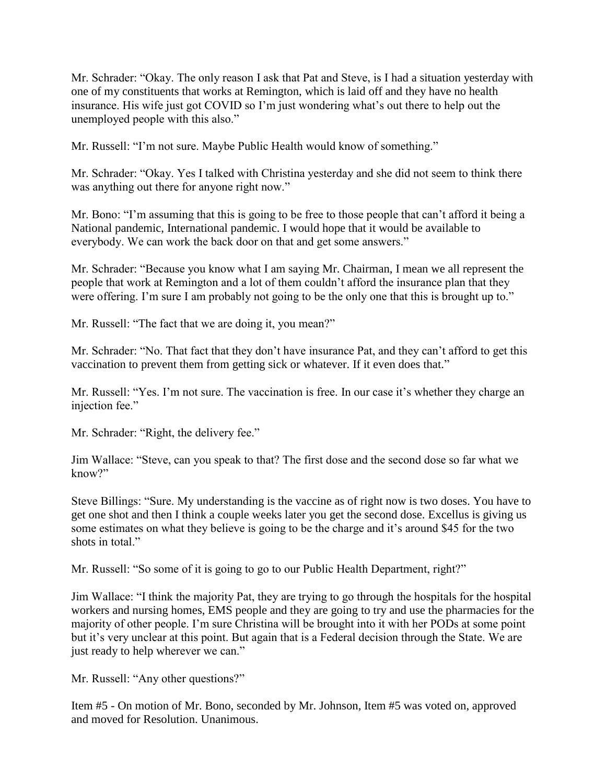Mr. Schrader: "Okay. The only reason I ask that Pat and Steve, is I had a situation yesterday with one of my constituents that works at Remington, which is laid off and they have no health insurance. His wife just got COVID so I'm just wondering what's out there to help out the unemployed people with this also."

Mr. Russell: "I'm not sure. Maybe Public Health would know of something."

Mr. Schrader: "Okay. Yes I talked with Christina yesterday and she did not seem to think there was anything out there for anyone right now."

Mr. Bono: "I'm assuming that this is going to be free to those people that can't afford it being a National pandemic, International pandemic. I would hope that it would be available to everybody. We can work the back door on that and get some answers."

Mr. Schrader: "Because you know what I am saying Mr. Chairman, I mean we all represent the people that work at Remington and a lot of them couldn't afford the insurance plan that they were offering. I'm sure I am probably not going to be the only one that this is brought up to."

Mr. Russell: "The fact that we are doing it, you mean?"

Mr. Schrader: "No. That fact that they don't have insurance Pat, and they can't afford to get this vaccination to prevent them from getting sick or whatever. If it even does that."

Mr. Russell: "Yes. I'm not sure. The vaccination is free. In our case it's whether they charge an injection fee."

Mr. Schrader: "Right, the delivery fee."

Jim Wallace: "Steve, can you speak to that? The first dose and the second dose so far what we know?"

Steve Billings: "Sure. My understanding is the vaccine as of right now is two doses. You have to get one shot and then I think a couple weeks later you get the second dose. Excellus is giving us some estimates on what they believe is going to be the charge and it's around \$45 for the two shots in total."

Mr. Russell: "So some of it is going to go to our Public Health Department, right?"

Jim Wallace: "I think the majority Pat, they are trying to go through the hospitals for the hospital workers and nursing homes, EMS people and they are going to try and use the pharmacies for the majority of other people. I'm sure Christina will be brought into it with her PODs at some point but it's very unclear at this point. But again that is a Federal decision through the State. We are just ready to help wherever we can."

Mr. Russell: "Any other questions?"

Item #5 - On motion of Mr. Bono, seconded by Mr. Johnson, Item #5 was voted on, approved and moved for Resolution. Unanimous.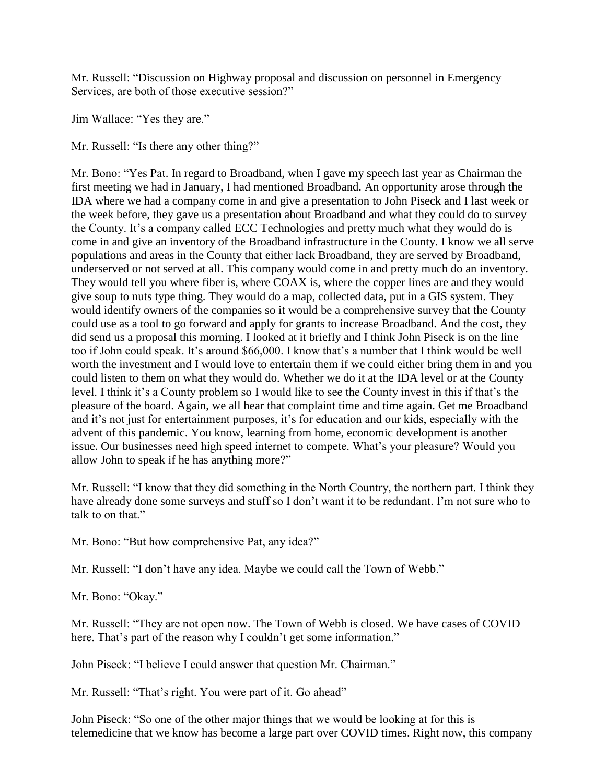Mr. Russell: "Discussion on Highway proposal and discussion on personnel in Emergency Services, are both of those executive session?"

Jim Wallace: "Yes they are."

Mr. Russell: "Is there any other thing?"

Mr. Bono: "Yes Pat. In regard to Broadband, when I gave my speech last year as Chairman the first meeting we had in January, I had mentioned Broadband. An opportunity arose through the IDA where we had a company come in and give a presentation to John Piseck and I last week or the week before, they gave us a presentation about Broadband and what they could do to survey the County. It's a company called ECC Technologies and pretty much what they would do is come in and give an inventory of the Broadband infrastructure in the County. I know we all serve populations and areas in the County that either lack Broadband, they are served by Broadband, underserved or not served at all. This company would come in and pretty much do an inventory. They would tell you where fiber is, where COAX is, where the copper lines are and they would give soup to nuts type thing. They would do a map, collected data, put in a GIS system. They would identify owners of the companies so it would be a comprehensive survey that the County could use as a tool to go forward and apply for grants to increase Broadband. And the cost, they did send us a proposal this morning. I looked at it briefly and I think John Piseck is on the line too if John could speak. It's around \$66,000. I know that's a number that I think would be well worth the investment and I would love to entertain them if we could either bring them in and you could listen to them on what they would do. Whether we do it at the IDA level or at the County level. I think it's a County problem so I would like to see the County invest in this if that's the pleasure of the board. Again, we all hear that complaint time and time again. Get me Broadband and it's not just for entertainment purposes, it's for education and our kids, especially with the advent of this pandemic. You know, learning from home, economic development is another issue. Our businesses need high speed internet to compete. What's your pleasure? Would you allow John to speak if he has anything more?"

Mr. Russell: "I know that they did something in the North Country, the northern part. I think they have already done some surveys and stuff so I don't want it to be redundant. I'm not sure who to talk to on that."

Mr. Bono: "But how comprehensive Pat, any idea?"

Mr. Russell: "I don't have any idea. Maybe we could call the Town of Webb."

Mr. Bono: "Okay."

Mr. Russell: "They are not open now. The Town of Webb is closed. We have cases of COVID here. That's part of the reason why I couldn't get some information."

John Piseck: "I believe I could answer that question Mr. Chairman."

Mr. Russell: "That's right. You were part of it. Go ahead"

John Piseck: "So one of the other major things that we would be looking at for this is telemedicine that we know has become a large part over COVID times. Right now, this company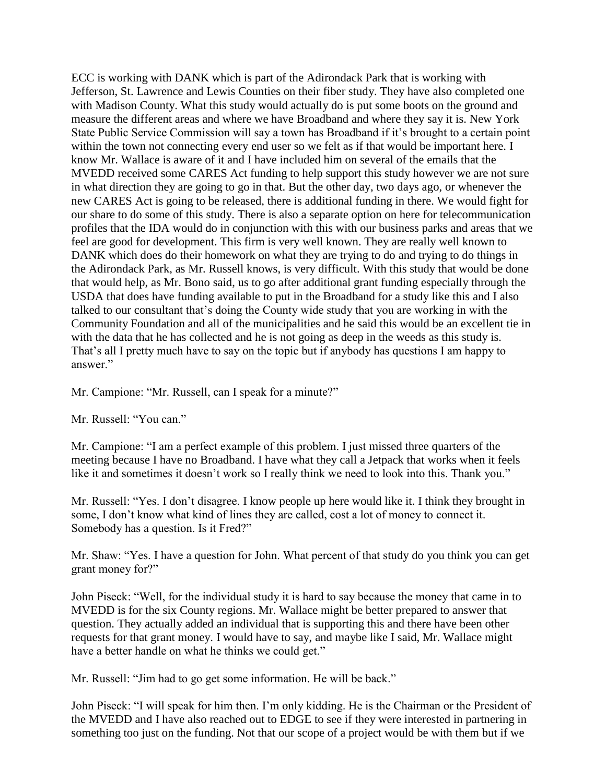ECC is working with DANK which is part of the Adirondack Park that is working with Jefferson, St. Lawrence and Lewis Counties on their fiber study. They have also completed one with Madison County. What this study would actually do is put some boots on the ground and measure the different areas and where we have Broadband and where they say it is. New York State Public Service Commission will say a town has Broadband if it's brought to a certain point within the town not connecting every end user so we felt as if that would be important here. I know Mr. Wallace is aware of it and I have included him on several of the emails that the MVEDD received some CARES Act funding to help support this study however we are not sure in what direction they are going to go in that. But the other day, two days ago, or whenever the new CARES Act is going to be released, there is additional funding in there. We would fight for our share to do some of this study. There is also a separate option on here for telecommunication profiles that the IDA would do in conjunction with this with our business parks and areas that we feel are good for development. This firm is very well known. They are really well known to DANK which does do their homework on what they are trying to do and trying to do things in the Adirondack Park, as Mr. Russell knows, is very difficult. With this study that would be done that would help, as Mr. Bono said, us to go after additional grant funding especially through the USDA that does have funding available to put in the Broadband for a study like this and I also talked to our consultant that's doing the County wide study that you are working in with the Community Foundation and all of the municipalities and he said this would be an excellent tie in with the data that he has collected and he is not going as deep in the weeds as this study is. That's all I pretty much have to say on the topic but if anybody has questions I am happy to answer."

Mr. Campione: "Mr. Russell, can I speak for a minute?"

Mr. Russell: "You can."

Mr. Campione: "I am a perfect example of this problem. I just missed three quarters of the meeting because I have no Broadband. I have what they call a Jetpack that works when it feels like it and sometimes it doesn't work so I really think we need to look into this. Thank you."

Mr. Russell: "Yes. I don't disagree. I know people up here would like it. I think they brought in some, I don't know what kind of lines they are called, cost a lot of money to connect it. Somebody has a question. Is it Fred?"

Mr. Shaw: "Yes. I have a question for John. What percent of that study do you think you can get grant money for?"

John Piseck: "Well, for the individual study it is hard to say because the money that came in to MVEDD is for the six County regions. Mr. Wallace might be better prepared to answer that question. They actually added an individual that is supporting this and there have been other requests for that grant money. I would have to say, and maybe like I said, Mr. Wallace might have a better handle on what he thinks we could get."

Mr. Russell: "Jim had to go get some information. He will be back."

John Piseck: "I will speak for him then. I'm only kidding. He is the Chairman or the President of the MVEDD and I have also reached out to EDGE to see if they were interested in partnering in something too just on the funding. Not that our scope of a project would be with them but if we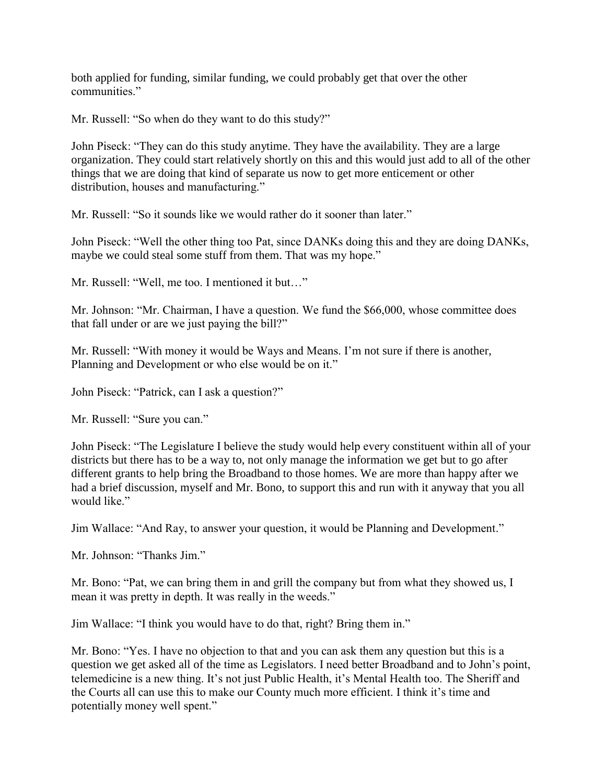both applied for funding, similar funding, we could probably get that over the other communities."

Mr. Russell: "So when do they want to do this study?"

John Piseck: "They can do this study anytime. They have the availability. They are a large organization. They could start relatively shortly on this and this would just add to all of the other things that we are doing that kind of separate us now to get more enticement or other distribution, houses and manufacturing."

Mr. Russell: "So it sounds like we would rather do it sooner than later."

John Piseck: "Well the other thing too Pat, since DANKs doing this and they are doing DANKs, maybe we could steal some stuff from them. That was my hope."

Mr. Russell: "Well, me too. I mentioned it but…"

Mr. Johnson: "Mr. Chairman, I have a question. We fund the \$66,000, whose committee does that fall under or are we just paying the bill?"

Mr. Russell: "With money it would be Ways and Means. I'm not sure if there is another, Planning and Development or who else would be on it."

John Piseck: "Patrick, can I ask a question?"

Mr. Russell: "Sure you can."

John Piseck: "The Legislature I believe the study would help every constituent within all of your districts but there has to be a way to, not only manage the information we get but to go after different grants to help bring the Broadband to those homes. We are more than happy after we had a brief discussion, myself and Mr. Bono, to support this and run with it anyway that you all would like."

Jim Wallace: "And Ray, to answer your question, it would be Planning and Development."

Mr. Johnson: "Thanks Jim."

Mr. Bono: "Pat, we can bring them in and grill the company but from what they showed us, I mean it was pretty in depth. It was really in the weeds."

Jim Wallace: "I think you would have to do that, right? Bring them in."

Mr. Bono: "Yes. I have no objection to that and you can ask them any question but this is a question we get asked all of the time as Legislators. I need better Broadband and to John's point, telemedicine is a new thing. It's not just Public Health, it's Mental Health too. The Sheriff and the Courts all can use this to make our County much more efficient. I think it's time and potentially money well spent."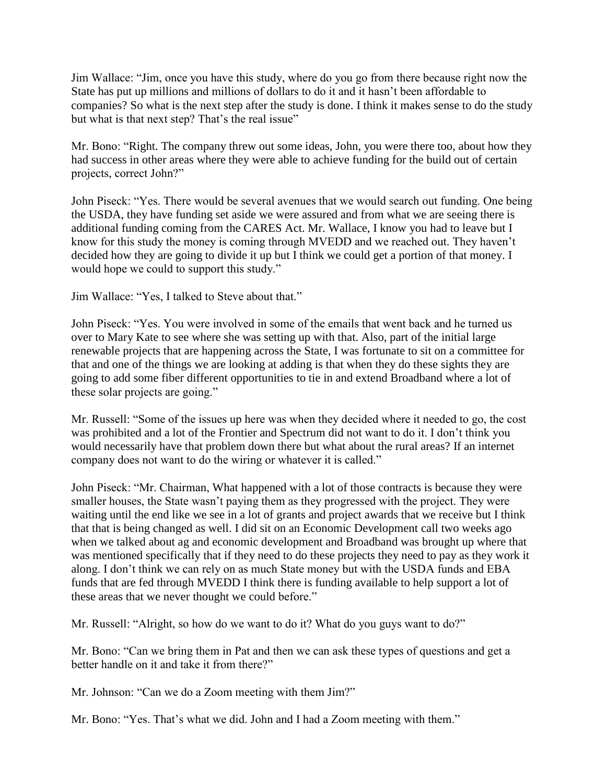Jim Wallace: "Jim, once you have this study, where do you go from there because right now the State has put up millions and millions of dollars to do it and it hasn't been affordable to companies? So what is the next step after the study is done. I think it makes sense to do the study but what is that next step? That's the real issue"

Mr. Bono: "Right. The company threw out some ideas, John, you were there too, about how they had success in other areas where they were able to achieve funding for the build out of certain projects, correct John?"

John Piseck: "Yes. There would be several avenues that we would search out funding. One being the USDA, they have funding set aside we were assured and from what we are seeing there is additional funding coming from the CARES Act. Mr. Wallace, I know you had to leave but I know for this study the money is coming through MVEDD and we reached out. They haven't decided how they are going to divide it up but I think we could get a portion of that money. I would hope we could to support this study."

Jim Wallace: "Yes, I talked to Steve about that."

John Piseck: "Yes. You were involved in some of the emails that went back and he turned us over to Mary Kate to see where she was setting up with that. Also, part of the initial large renewable projects that are happening across the State, I was fortunate to sit on a committee for that and one of the things we are looking at adding is that when they do these sights they are going to add some fiber different opportunities to tie in and extend Broadband where a lot of these solar projects are going."

Mr. Russell: "Some of the issues up here was when they decided where it needed to go, the cost was prohibited and a lot of the Frontier and Spectrum did not want to do it. I don't think you would necessarily have that problem down there but what about the rural areas? If an internet company does not want to do the wiring or whatever it is called."

John Piseck: "Mr. Chairman, What happened with a lot of those contracts is because they were smaller houses, the State wasn't paying them as they progressed with the project. They were waiting until the end like we see in a lot of grants and project awards that we receive but I think that that is being changed as well. I did sit on an Economic Development call two weeks ago when we talked about ag and economic development and Broadband was brought up where that was mentioned specifically that if they need to do these projects they need to pay as they work it along. I don't think we can rely on as much State money but with the USDA funds and EBA funds that are fed through MVEDD I think there is funding available to help support a lot of these areas that we never thought we could before."

Mr. Russell: "Alright, so how do we want to do it? What do you guys want to do?"

Mr. Bono: "Can we bring them in Pat and then we can ask these types of questions and get a better handle on it and take it from there?"

Mr. Johnson: "Can we do a Zoom meeting with them Jim?"

Mr. Bono: "Yes. That's what we did. John and I had a Zoom meeting with them."